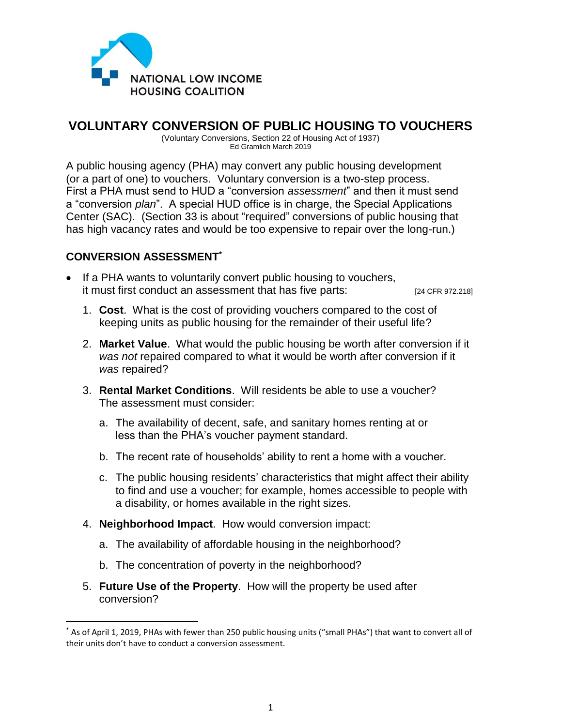

# **VOLUNTARY CONVERSION OF PUBLIC HOUSING TO VOUCHERS**

(Voluntary Conversions, Section 22 of Housing Act of 1937) Ed Gramlich March 2019

A public housing agency (PHA) may convert any public housing development (or a part of one) to vouchers. Voluntary conversion is a two-step process. First a PHA must send to HUD a "conversion *assessment*" and then it must send a "conversion *plan*". A special HUD office is in charge, the Special Applications Center (SAC). (Section 33 is about "required" conversions of public housing that has high vacancy rates and would be too expensive to repair over the long-run.)

## **CONVERSION ASSESSMENT\***

 $\overline{\phantom{a}}$ 

- If a PHA wants to voluntarily convert public housing to vouchers, it must first conduct an assessment that has five parts: [24 CFR 972.218]
	- 1. **Cost**. What is the cost of providing vouchers compared to the cost of keeping units as public housing for the remainder of their useful life?
	- 2. **Market Value**. What would the public housing be worth after conversion if it *was not* repaired compared to what it would be worth after conversion if it *was* repaired?
	- 3. **Rental Market Conditions**. Will residents be able to use a voucher? The assessment must consider:
		- a. The availability of decent, safe, and sanitary homes renting at or less than the PHA's voucher payment standard.
		- b. The recent rate of households' ability to rent a home with a voucher.
		- c. The public housing residents' characteristics that might affect their ability to find and use a voucher; for example, homes accessible to people with a disability, or homes available in the right sizes.
	- 4. **Neighborhood Impact**. How would conversion impact:
		- a. The availability of affordable housing in the neighborhood?
		- b. The concentration of poverty in the neighborhood?
	- 5. **Future Use of the Property**. How will the property be used after conversion?

<sup>\*</sup> As of April 1, 2019, PHAs with fewer than 250 public housing units ("small PHAs") that want to convert all of their units don't have to conduct a conversion assessment.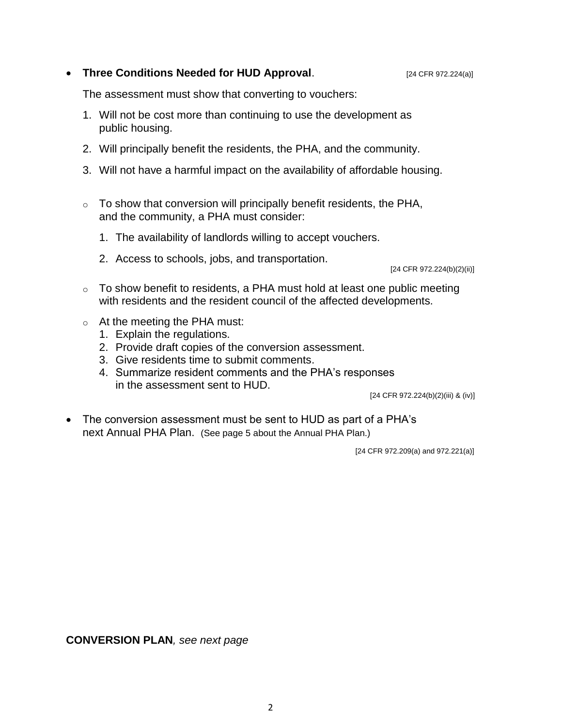## • Three Conditions Needed for HUD Approval. **Example 24 CFR 972.224(a)**

The assessment must show that converting to vouchers:

- 1. Will not be cost more than continuing to use the development as public housing.
- 2. Will principally benefit the residents, the PHA, and the community.
- 3. Will not have a harmful impact on the availability of affordable housing.
- $\circ$  To show that conversion will principally benefit residents, the PHA, and the community, a PHA must consider:
	- 1. The availability of landlords willing to accept vouchers.
	- 2. Access to schools, jobs, and transportation.

[24 CFR 972.224(b)(2)(ii)]

- $\circ$  To show benefit to residents, a PHA must hold at least one public meeting with residents and the resident council of the affected developments.
- o At the meeting the PHA must:
	- 1. Explain the regulations.
	- 2. Provide draft copies of the conversion assessment.
	- 3. Give residents time to submit comments.
	- 4. Summarize resident comments and the PHA's responses in the assessment sent to HUD.

[24 CFR 972.224(b)(2)(iii) & (iv)]

 The conversion assessment must be sent to HUD as part of a PHA's next Annual PHA Plan. (See page 5 about the Annual PHA Plan.)

[24 CFR 972.209(a) and 972.221(a)]

**CONVERSION PLAN***, see next page*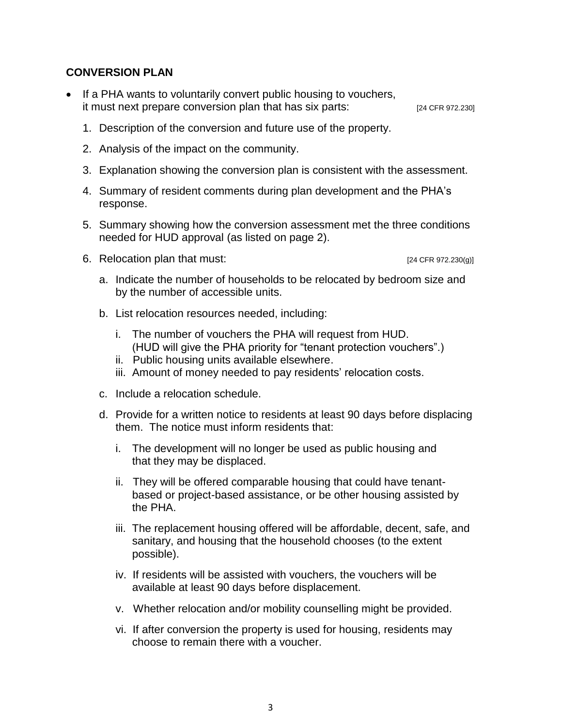## **CONVERSION PLAN**

 If a PHA wants to voluntarily convert public housing to vouchers, it must next prepare conversion plan that has six parts: [24 CFR 972.230]

- 1. Description of the conversion and future use of the property.
- 2. Analysis of the impact on the community.
- 3. Explanation showing the conversion plan is consistent with the assessment.
- 4. Summary of resident comments during plan development and the PHA's response.
- 5. Summary showing how the conversion assessment met the three conditions needed for HUD approval (as listed on page 2).
- 6. Relocation plan that must:  $[24 \text{ CFR } 972.230(g)]$

- a. Indicate the number of households to be relocated by bedroom size and by the number of accessible units.
- b. List relocation resources needed, including:
	- i. The number of vouchers the PHA will request from HUD. (HUD will give the PHA priority for "tenant protection vouchers".)
	- ii. Public housing units available elsewhere.
	- iii. Amount of money needed to pay residents' relocation costs.
- c. Include a relocation schedule.
- d. Provide for a written notice to residents at least 90 days before displacing them. The notice must inform residents that:
	- i. The development will no longer be used as public housing and that they may be displaced.
	- ii. They will be offered comparable housing that could have tenantbased or project-based assistance, or be other housing assisted by the PHA.
	- iii. The replacement housing offered will be affordable, decent, safe, and sanitary, and housing that the household chooses (to the extent possible).
	- iv. If residents will be assisted with vouchers, the vouchers will be available at least 90 days before displacement.
	- v. Whether relocation and/or mobility counselling might be provided.
	- vi. If after conversion the property is used for housing, residents may choose to remain there with a voucher.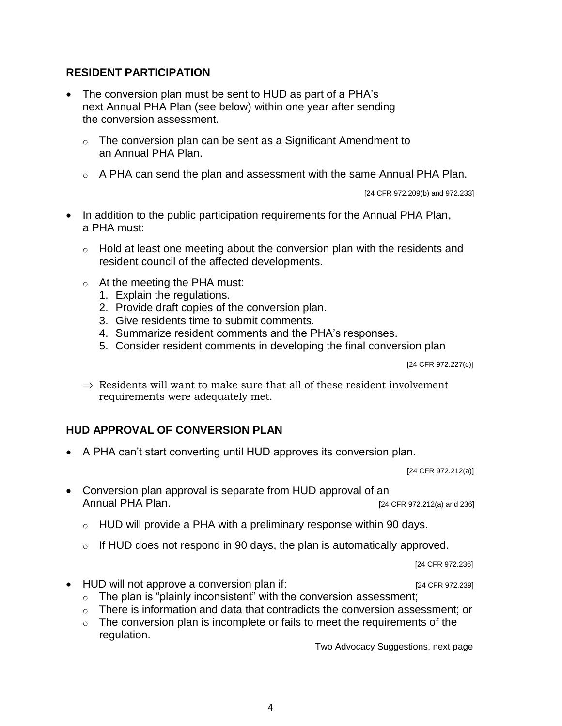## **RESIDENT PARTICIPATION**

- The conversion plan must be sent to HUD as part of a PHA's next Annual PHA Plan (see below) within one year after sending the conversion assessment.
	- $\circ$  The conversion plan can be sent as a Significant Amendment to an Annual PHA Plan.
	- $\circ$  A PHA can send the plan and assessment with the same Annual PHA Plan.

[24 CFR 972.209(b) and 972.233]

- In addition to the public participation requirements for the Annual PHA Plan, a PHA must:
	- $\circ$  Hold at least one meeting about the conversion plan with the residents and resident council of the affected developments.
	- $\circ$  At the meeting the PHA must:
		- 1. Explain the regulations.
		- 2. Provide draft copies of the conversion plan.
		- 3. Give residents time to submit comments.
		- 4. Summarize resident comments and the PHA's responses.
		- 5. Consider resident comments in developing the final conversion plan

[24 CFR 972.227(c)]

 $\Rightarrow$  Residents will want to make sure that all of these resident involvement requirements were adequately met.

## **HUD APPROVAL OF CONVERSION PLAN**

A PHA can't start converting until HUD approves its conversion plan.

[24 CFR 972.212(a)]

- Conversion plan approval is separate from HUD approval of an Annual PHA Plan. **[24 CFR 972.212(a)** and 236]
	- $\circ$  HUD will provide a PHA with a preliminary response within 90 days.
	- $\circ$  If HUD does not respond in 90 days, the plan is automatically approved.

[24 CFR 972.236]

- HUD will not approve a conversion plan if:  $[24 \text{ CF } 972.239]$ 
	- $\circ$  The plan is "plainly inconsistent" with the conversion assessment;
	- $\circ$  There is information and data that contradicts the conversion assessment; or
	- $\circ$  The conversion plan is incomplete or fails to meet the requirements of the regulation.

Two Advocacy Suggestions, next page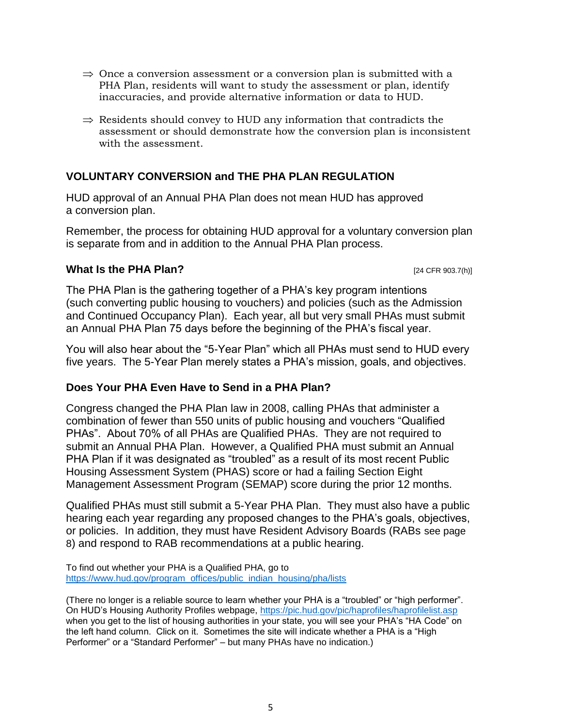- $\Rightarrow$  Once a conversion assessment or a conversion plan is submitted with a PHA Plan, residents will want to study the assessment or plan, identify inaccuracies, and provide alternative information or data to HUD.
- $\Rightarrow$  Residents should convey to HUD any information that contradicts the assessment or should demonstrate how the conversion plan is inconsistent with the assessment.

#### **VOLUNTARY CONVERSION and THE PHA PLAN REGULATION**

HUD approval of an Annual PHA Plan does not mean HUD has approved a conversion plan.

Remember, the process for obtaining HUD approval for a voluntary conversion plan is separate from and in addition to the Annual PHA Plan process.

#### **What Is the PHA Plan?** [24 CFR 903.7(h)]

The PHA Plan is the gathering together of a PHA's key program intentions (such converting public housing to vouchers) and policies (such as the Admission and Continued Occupancy Plan). Each year, all but very small PHAs must submit an Annual PHA Plan 75 days before the beginning of the PHA's fiscal year.

You will also hear about the "5-Year Plan" which all PHAs must send to HUD every five years. The 5-Year Plan merely states a PHA's mission, goals, and objectives.

#### **Does Your PHA Even Have to Send in a PHA Plan?**

Congress changed the PHA Plan law in 2008, calling PHAs that administer a combination of fewer than 550 units of public housing and vouchers "Qualified PHAs". About 70% of all PHAs are Qualified PHAs. They are not required to submit an Annual PHA Plan. However, a Qualified PHA must submit an Annual PHA Plan if it was designated as "troubled" as a result of its most recent Public Housing Assessment System (PHAS) score or had a failing Section Eight Management Assessment Program (SEMAP) score during the prior 12 months.

Qualified PHAs must still submit a 5-Year PHA Plan. They must also have a public hearing each year regarding any proposed changes to the PHA's goals, objectives, or policies. In addition, they must have Resident Advisory Boards (RABs see page 8) and respond to RAB recommendations at a public hearing.

To find out whether your PHA is a Qualified PHA, go to [https://www.hud.gov/program\\_offices/public\\_indian\\_housing/pha/lists](https://www.hud.gov/program_offices/public_indian_housing/pha/lists)

(There no longer is a reliable source to learn whether your PHA is a "troubled" or "high performer". On HUD's Housing Authority Profiles webpage, https://pic.hud.gov/pic/haprofiles/haprofilelist.asp when you get to the list of housing authorities in your state, you will see your PHA's "HA Code" on the left hand column. Click on it. Sometimes the site will indicate whether a PHA is a "High Performer" or a "Standard Performer" – but many PHAs have no indication.)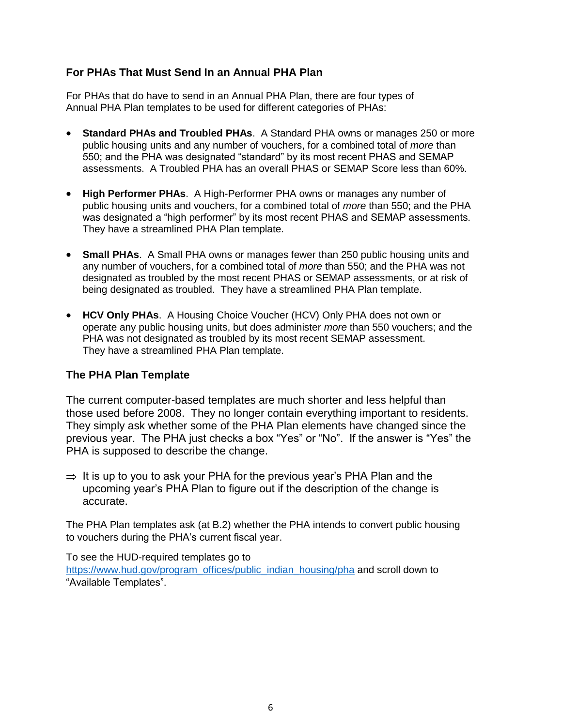## **For PHAs That Must Send In an Annual PHA Plan**

For PHAs that do have to send in an Annual PHA Plan, there are four types of Annual PHA Plan templates to be used for different categories of PHAs:

- **Standard PHAs and Troubled PHAs**. A Standard PHA owns or manages 250 or more public housing units and any number of vouchers, for a combined total of *more* than 550; and the PHA was designated "standard" by its most recent PHAS and SEMAP assessments. A Troubled PHA has an overall PHAS or SEMAP Score less than 60%.
- **High Performer PHAs**. A High-Performer PHA owns or manages any number of public housing units and vouchers, for a combined total of *more* than 550; and the PHA was designated a "high performer" by its most recent PHAS and SEMAP assessments. They have a streamlined PHA Plan template.
- **Small PHAs**. A Small PHA owns or manages fewer than 250 public housing units and any number of vouchers, for a combined total of *more* than 550; and the PHA was not designated as troubled by the most recent PHAS or SEMAP assessments, or at risk of being designated as troubled. They have a streamlined PHA Plan template.
- **HCV Only PHAs**. A Housing Choice Voucher (HCV) Only PHA does not own or operate any public housing units, but does administer *more* than 550 vouchers; and the PHA was not designated as troubled by its most recent SEMAP assessment. They have a streamlined PHA Plan template.

## **The PHA Plan Template**

The current computer-based templates are much shorter and less helpful than those used before 2008. They no longer contain everything important to residents. They simply ask whether some of the PHA Plan elements have changed since the previous year. The PHA just checks a box "Yes" or "No". If the answer is "Yes" the PHA is supposed to describe the change.

 $\Rightarrow$  It is up to you to ask your PHA for the previous year's PHA Plan and the upcoming year's PHA Plan to figure out if the description of the change is accurate.

The PHA Plan templates ask (at B.2) whether the PHA intends to convert public housing to vouchers during the PHA's current fiscal year.

To see the HUD-required templates go to [https://www.hud.gov/program\\_offices/public\\_indian\\_housing/pha](https://www.hud.gov/program_offices/public_indian_housing/pha) and scroll down to "Available Templates".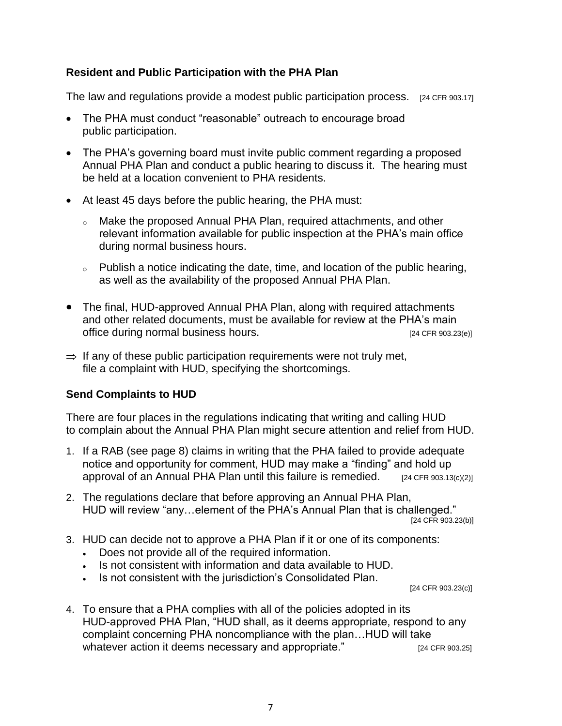## **Resident and Public Participation with the PHA Plan**

The law and regulations provide a modest public participation process.  $[24 \text{ CFR } 903.17]$ 

- The PHA must conduct "reasonable" outreach to encourage broad public participation.
- The PHA's governing board must invite public comment regarding a proposed Annual PHA Plan and conduct a public hearing to discuss it. The hearing must be held at a location convenient to PHA residents.
- At least 45 days before the public hearing, the PHA must:
	- <sup>o</sup> Make the proposed Annual PHA Plan, required attachments, and other relevant information available for public inspection at the PHA's main office during normal business hours.
	- $\circ$  Publish a notice indicating the date, time, and location of the public hearing, as well as the availability of the proposed Annual PHA Plan.
- The final, HUD-approved Annual PHA Plan, along with required attachments and other related documents, must be available for review at the PHA's main office during normal business hours. The state of the state of the state of the state of the state of the state of the state of the state of the state of the state of the state of the state of the state of the state of the
- $\Rightarrow$  If any of these public participation requirements were not truly met, file a complaint with HUD, specifying the shortcomings.

## **Send Complaints to HUD**

There are four places in the regulations indicating that writing and calling HUD to complain about the Annual PHA Plan might secure attention and relief from HUD.

- 1. If a RAB (see page 8) claims in writing that the PHA failed to provide adequate notice and opportunity for comment, HUD may make a "finding" and hold up approval of an Annual PHA Plan until this failure is remedied.  $[24 \text{ CFR } 903.13 \text{(c)}(2)]$
- 2. The regulations declare that before approving an Annual PHA Plan, HUD will review "any…element of the PHA's Annual Plan that is challenged." [24 CFR 903.23(b)]
- 3. HUD can decide not to approve a PHA Plan if it or one of its components:
	- Does not provide all of the required information.
	- Is not consistent with information and data available to HUD.
	- Is not consistent with the jurisdiction's Consolidated Plan.

[24 CFR 903.23(c)]

4. To ensure that a PHA complies with all of the policies adopted in its HUD-approved PHA Plan, "HUD shall, as it deems appropriate, respond to any complaint concerning PHA noncompliance with the plan…HUD will take whatever action it deems necessary and appropriate." [24 CFR 903.25]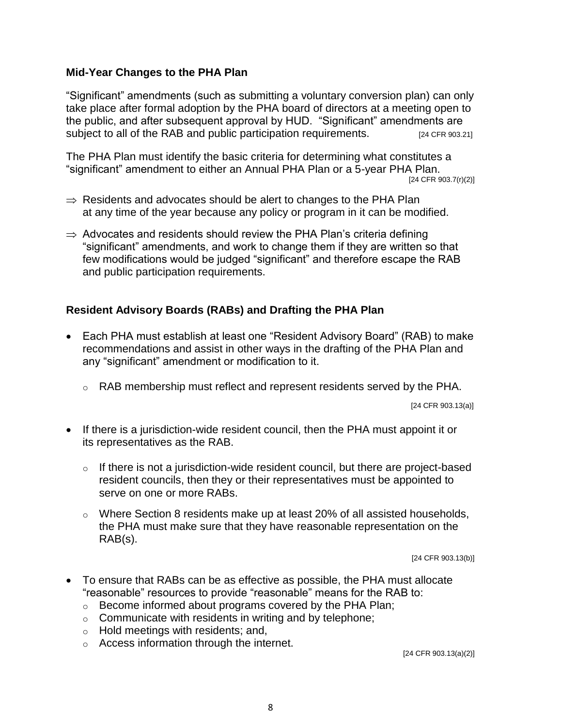### **Mid-Year Changes to the PHA Plan**

"Significant" amendments (such as submitting a voluntary conversion plan) can only take place after formal adoption by the PHA board of directors at a meeting open to the public, and after subsequent approval by HUD. "Significant" amendments are subject to all of the RAB and public participation requirements. [24 CFR 903.21]

The PHA Plan must identify the basic criteria for determining what constitutes a "significant" amendment to either an Annual PHA Plan or a 5-year PHA Plan. [24 CFR 903.7(r)(2)]

- $\Rightarrow$  Residents and advocates should be alert to changes to the PHA Plan at any time of the year because any policy or program in it can be modified.
- $\Rightarrow$  Advocates and residents should review the PHA Plan's criteria defining "significant" amendments, and work to change them if they are written so that few modifications would be judged "significant" and therefore escape the RAB and public participation requirements.

## **Resident Advisory Boards (RABs) and Drafting the PHA Plan**

- Each PHA must establish at least one "Resident Advisory Board" (RAB) to make recommendations and assist in other ways in the drafting of the PHA Plan and any "significant" amendment or modification to it.
	- $\circ$  RAB membership must reflect and represent residents served by the PHA.

[24 CFR 903.13(a)]

- If there is a jurisdiction-wide resident council, then the PHA must appoint it or its representatives as the RAB.
	- $\circ$  If there is not a jurisdiction-wide resident council, but there are project-based resident councils, then they or their representatives must be appointed to serve on one or more RABs.
	- $\circ$  Where Section 8 residents make up at least 20% of all assisted households, the PHA must make sure that they have reasonable representation on the RAB(s).

[24 CFR 903.13(b)]

- To ensure that RABs can be as effective as possible, the PHA must allocate "reasonable" resources to provide "reasonable" means for the RAB to:
	- o Become informed about programs covered by the PHA Plan;
	- $\circ$  Communicate with residents in writing and by telephone;
	- o Hold meetings with residents; and,
	- o Access information through the internet.

[24 CFR 903.13(a)(2)]